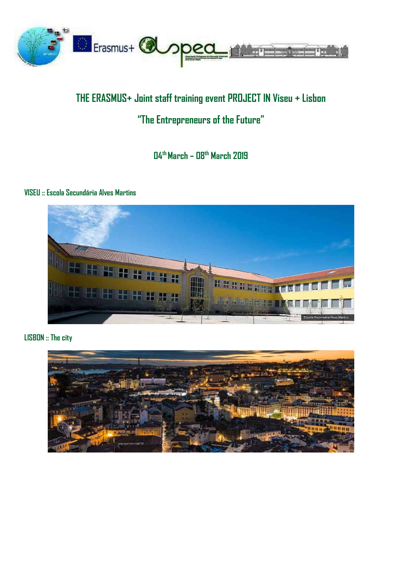

# **THE ERASMUS+ Joint staff training event PROJECT IN Viseu + Lisbon**

# **"The Entrepreneurs of the Future"**

**04th March – 08th March 2019**

#### **VISEU :: Escola Secundária Alves Martins**



**LISBON :: The city**

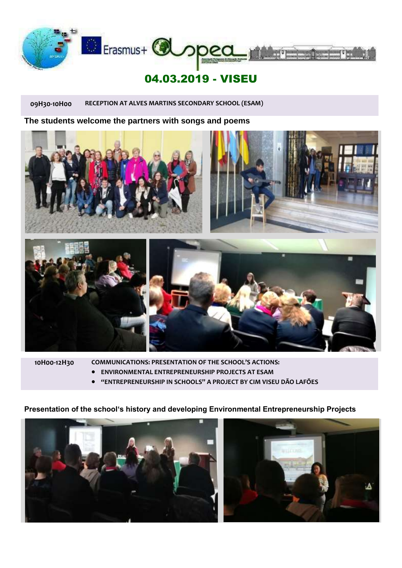

# 04.03.2019 - VISEU

**09H30-10H00 RECEPTION AT ALVES MARTINS SECONDARY SCHOOL (ESAM)**

**The students welcome the partners with songs and poems**



**10H00-12H30 COMMUNICATIONS: PRESENTATION OF THE SCHOOL'S ACTIONS:**

- **ENVIRONMENTAL ENTREPRENEURSHIP PROJECTS AT ESAM**
- **"ENTREPRENEURSHIP IN SCHOOLS" A PROJECT BY CIM VISEU DÃO LAFÕES**

#### **Presentation of the school's history and developing Environmental Entrepreneurship Projects**



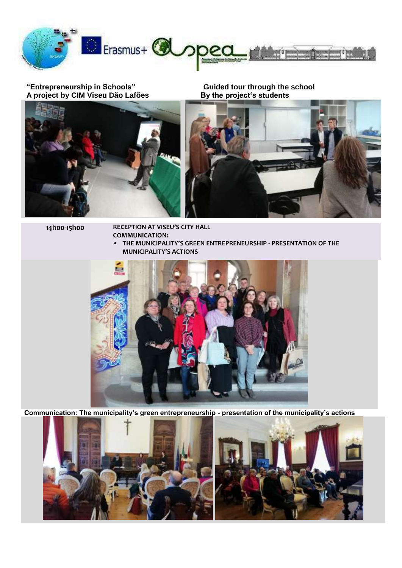

#### **"Entrepreneurship in Schools" Guided tour through the school** A project by CIM Viseu Dão Lafões **By the project's students**



**14h00-15h00 RECEPTION AT VISEU'S CITY HALL COMMUNICATION:**

**• THE MUNICIPALITY'S GREEN ENTREPRENEURSHIP - PRESENTATION OF THE MUNICIPALITY'S ACTIONS** 



**Communication: The municipality's green entrepreneurship - presentation of the municipality's actions**

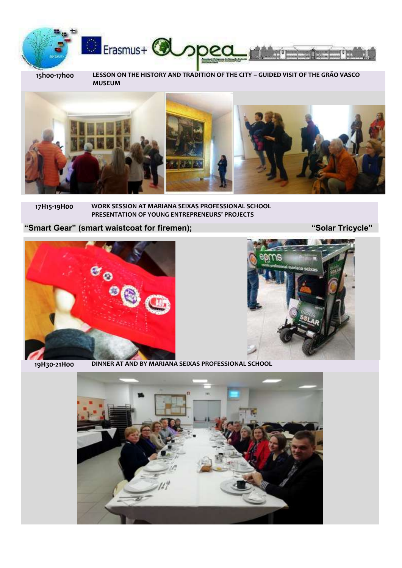

**15h00-17h00 LESSON ON THE HISTORY AND TRADITION OF THE CITY – GUIDED VISIT OF THE GRÃO VASCO MUSEUM** 



#### **17H15-19H00 WORK SESSION AT MARIANA SEIXAS PROFESSIONAL SCHOOL PRESENTATION OF YOUNG ENTREPRENEURS' PROJECTS**

### **"Smart Gear" (smart waistcoat for firemen); "Solar Tricycle"**

 $\begin{array}{c} \circ \\ \circ \circ \end{array}$ 



**19H30-21H00 DINNER AT AND BY MARIANA SEIXAS PROFESSIONAL SCHOOL**

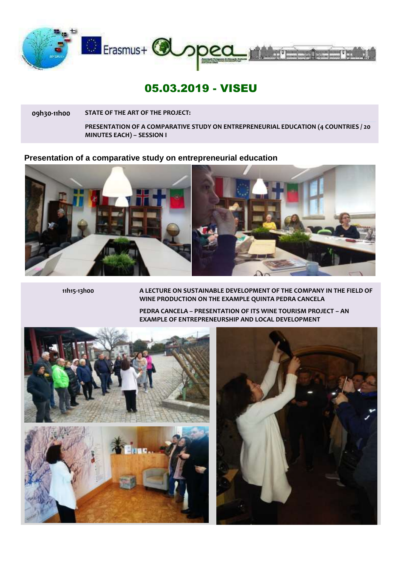

## 05.03.2019 - VISEU

**09h30-11h00 STATE OF THE ART OF THE PROJECT:**

**PRESENTATION OF A COMPARATIVE STUDY ON ENTREPRENEURIAL EDUCATION (4 COUNTRIES / 20 MINUTES EACH) – SESSION I**

#### **Presentation of a comparative study on entrepreneurial education**



**11h15-13h00 A LECTURE ON SUSTAINABLE DEVELOPMENT OF THE COMPANY IN THE FIELD OF WINE PRODUCTION ON THE EXAMPLE QUINTA PEDRA CANCELA**

> **PEDRA CANCELA – PRESENTATION OF ITS WINE TOURISM PROJECT – AN EXAMPLE OF ENTREPRENEURSHIP AND LOCAL DEVELOPMENT**



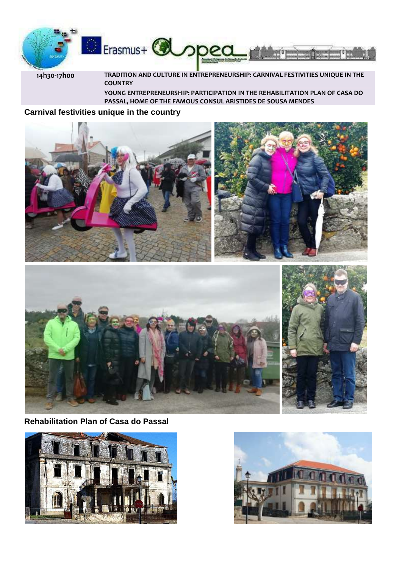

**14h30-17h00 TRADITION AND CULTURE IN ENTREPRENEURSHIP: CARNIVAL FESTIVITIES UNIQUE IN THE COUNTRY** 

**YOUNG ENTREPRENEURSHIP: PARTICIPATION IN THE REHABILITATION PLAN OF CASA DO PASSAL, HOME OF THE FAMOUS CONSUL ARISTIDES DE SOUSA MENDES**

#### **Carnival festivities unique in the country**





**Rehabilitation Plan of Casa do Passal**